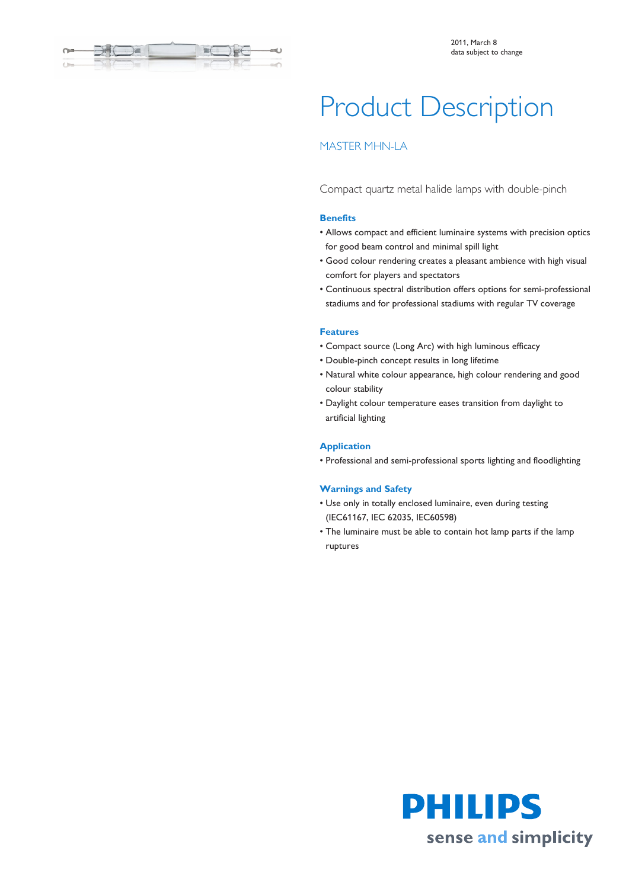

# Product Description

## MASTER MHN-LA

Compact quartz metal halide lamps with double-pinch

#### **Benefits**

- Allows compact and efficient luminaire systems with precision optics for good beam control and minimal spill light
- Good colour rendering creates a pleasant ambience with high visual comfort for players and spectators
- Continuous spectral distribution offers options for semi-professional stadiums and for professional stadiums with regular TV coverage

#### **Features**

- Compact source (Long Arc) with high luminous efficacy
- Double-pinch concept results in long lifetime
- Natural white colour appearance, high colour rendering and good colour stability
- Daylight colour temperature eases transition from daylight to artificial lighting

#### **Application**

• Professional and semi-professional sports lighting and floodlighting

#### **Warnings and Safety**

- Use only in totally enclosed luminaire, even during testing (IEC61167, IEC 62035, IEC60598)
- The luminaire must be able to contain hot lamp parts if the lamp ruptures

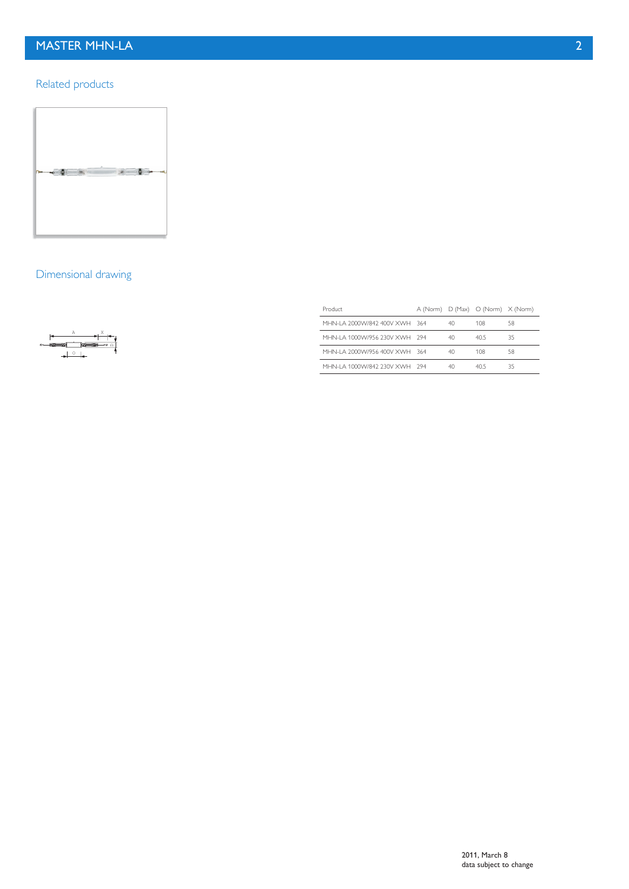# MASTER MHN-LA 2

## Related products



## Dimensional drawing



| Product                        |    | A (Norm) D (Max) O (Norm) X (Norm) |    |  |
|--------------------------------|----|------------------------------------|----|--|
| MHN-LA 2000VV/842 400V XWH 364 | 40 | 108                                | 58 |  |
| MHN-LA 1000W/956 230V XWH 294  | 40 | 405                                | 35 |  |
| MHN-LA 2000W/956 400V XWH 364  | 40 | 108                                | 58 |  |
| MHN-I A 1000W/842 230V XWH 294 | 40 | 405                                | 35 |  |
|                                |    |                                    |    |  |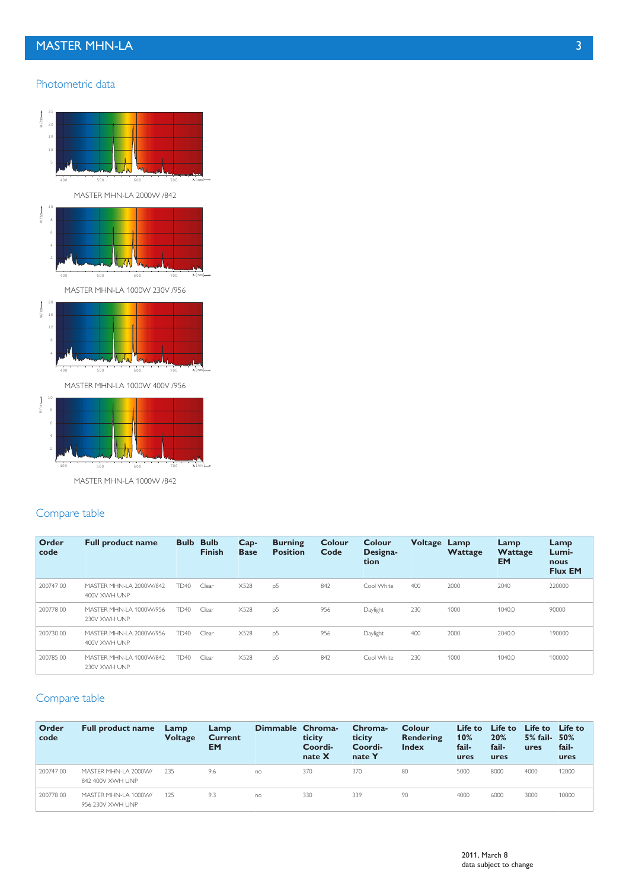# MASTER MHN-LA 3

#### Photometric data



#### Compare table

| Order<br>code | <b>Full product name</b>                | <b>Bulb</b> | <b>Bulb</b><br><b>Finish</b> | $Cap-$<br><b>Base</b> | <b>Burning</b><br><b>Position</b> | Colour<br>Code | Colour<br>Designa-<br>tion | Voltage | Lamp<br>Wattage | Lamp<br>Wattage<br><b>EM</b> | Lamp<br>Lumi-<br>nous<br><b>Flux EM</b> |
|---------------|-----------------------------------------|-------------|------------------------------|-----------------------|-----------------------------------|----------------|----------------------------|---------|-----------------|------------------------------|-----------------------------------------|
| 200747 00     | MASTER MHN-LA 2000W/842<br>400V XWH UNP | <b>TD40</b> | Clear                        | X528                  | p <sub>5</sub>                    | 842            | Cool White                 | 400     | 2000            | 2040                         | 220000                                  |
| 200778 00     | MASTER MHN-LA 1000W/956<br>230V XWH UNP | <b>TD40</b> | Clear                        | X528                  | p <sub>5</sub>                    | 956            | Daylight                   | 230     | 1000            | 1040.0                       | 90000                                   |
| 200730 00     | MASTER MHN-LA 2000W/956<br>400V XWH UNP | <b>TD40</b> | Clear                        | X528                  | p <sub>5</sub>                    | 956            | Daylight                   | 400     | 2000            | 2040.0                       | 190000                                  |
| 200785 00     | MASTER MHN-LA 1000W/842<br>230V XWH UNP | <b>TD40</b> | Clear                        | X528                  | p <sub>5</sub>                    | 842            | Cool White                 | 230     | 1000            | 1040.0                       | 100000                                  |

# Compare table

| Order<br>code | <b>Full product name</b>                  | Lamp<br><b>Voltage</b> | Lamp<br><b>Current</b><br><b>EM</b> | Dimmable Chroma- | ticity<br>Coordi-<br>nate $X$ | Chroma-<br>ticity<br>Coordi-<br>nate Y | Colour<br>Rendering<br><b>Index</b> | Life to<br>10%<br>fail-<br>ures | Life to<br>20%<br>fail-<br>ures | Life to<br>$5%$ fail-<br>ures | Life to<br>50%<br>fail-<br>ures |
|---------------|-------------------------------------------|------------------------|-------------------------------------|------------------|-------------------------------|----------------------------------------|-------------------------------------|---------------------------------|---------------------------------|-------------------------------|---------------------------------|
| 200747 00     | MASTER MHN-LA 2000W/<br>842 400V XWH UNP  | 235                    | 9.6                                 | no               | 370                           | 370                                    | 80                                  | 5000                            | 8000                            | 4000                          | 12000                           |
| 200778 00     | MASTER MHN-I A 1000W/<br>956 230V XWH UNP | 125                    | 9.3                                 | no               | 330                           | 339                                    | 90                                  | 4000                            | 6000                            | 3000                          | 10000                           |